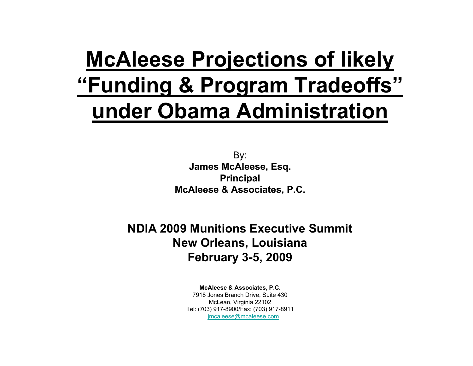# **McAleese Projections of likely "Funding & Program Tradeoffs" under Obama Administration**

By: **James McAleese, Esq. Principal McAleese & Associates, P.C.**

**NDIA 2009 Munitions Executive SummitNew Orleans, Louisiana February 3-5, 2009**

**McAleese & Associates, P.C.**

7918 Jones Branch Drive, Suite 430 McLean, Virginia 22102 Tel: (703) 917-8900/Fax: (703) 917-8911 [jmcaleese@mcaleese.com](mailto:jmcaleese@mcaleese.com)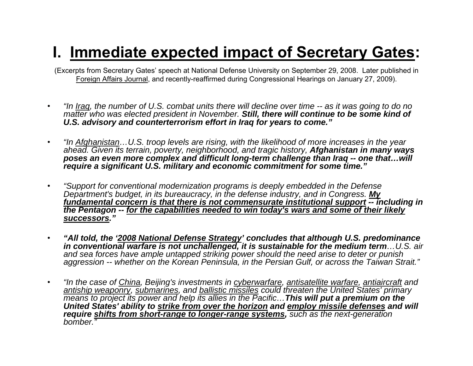# **I. Immediate expected impact of Secretary Gates:**

(Excerpts from Secretary Gates' speech at National Defense University on September 29, 2008. Later published in Foreign Affairs Journal, and recently-reaffirmed during Congressional Hearings on January 27, 2009).

- • *"In Iraq, the number of U.S. combat units there will decline over time -- as it was going to do no matter who was elected president in November. Still, there will continue to be some kind of U.S. advisory and counterterrorism effort in Iraq for years to come."*
- • *"In Afghanistan…U.S. troop levels are rising, with the likelihood of more increases in the year ahead. Given its terrain, poverty, neighborhood, and tragic history, Afghanistan in many ways poses an even more complex and difficult long-term challenge than Iraq -- one that…will require a significant U.S. military and economic commitment for some time."*
- • *"Support for conventional modernization programs is deeply embedded in the Defense Department's budget, in its bureaucracy, in the defense industry, and in Congress. My fundamental concern is that there is not commensurate institutional support -- including in the Pentagon -- for the capabilities needed to win today's wars and some of their likely successors."*
- • *"All told, the '2008 National Defense Strategy' concludes that although U.S. predominance in conventional warfare is not unchallenged, it is sustainable for the medium term…U.S. air and sea forces have ample untapped striking power should the need arise to deter or punish aggression -- whether on the Korean Peninsula, in the Persian Gulf, or across the Taiwan Strait."*
- • *"In the case of China, Beijing's investments in cyberwarfare, antisatellite warfare, antiaircraft and antiship weaponry, submarines, and ballistic missiles could threaten the United States' primary means to project its power and help its allies in the Pacific…This will put a premium on the United States' ability to strike from over the horizon and employ missile defenses and will require shifts from short-range to longer-range systems, such as the next-generation bomber."*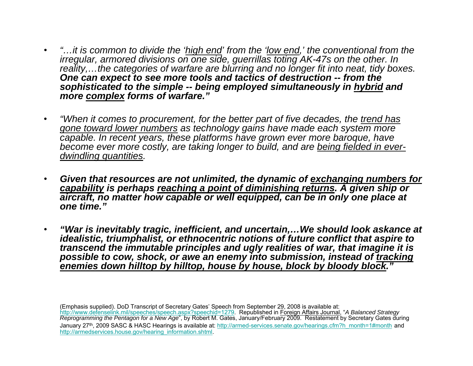- • *"…it is common to divide the 'high end' from the 'low end,' the conventional from the irregular, armored divisions on one side, guerrillas toting AK-47s on the other. In reality,…the categories of warfare are blurring and no longer fit into neat, tidy boxes. One can expect to see more tools and tactics of destruction -- from the sophisticated to the simple -- being employed simultaneously in hybrid and more complex forms of warfare."*
- • *"When it comes to procurement, for the better part of five decades, the trend has gone toward lower numbers as technology gains have made each system more capable. In recent years, these platforms have grown ever more baroque, have become ever more costly, are taking longer to build, and are being fielded in everdwindling quantities.*
- • *Given that resources are not unlimited, the dynamic of exchanging numbers for capability is perhaps reaching a point of diminishing returns. A given ship or aircraft, no matter how capable or well equipped, can be in only one place at one time."*
- • *"War is inevitably tragic, inefficient, and uncertain,…We should look askance at idealistic, triumphalist, or ethnocentric notions of future conflict that aspire to transcend the immutable principles and ugly realities of war, that imagine it is possible to cow, shock, or awe an enemy into submission, instead of tracking enemies down hilltop by hilltop, house by house, block by bloody block."*

(Emphasis supplied). DoD Transcript of Secretary Gates' Speech from September 29, 2008 is available at: <http://www.defenselink.mil/speeches/speech.aspx?speechid=1279>. Republished in Foreign Affairs Journal, "*A Balanced Strategy Reprogramming the Pentagon for a New Age*", by Robert M. Gates, January/February 2009. Restatement by Secretary Gates during January 27<sup>th</sup>, 2009 SASC & HASC Hearings is available at: [http://armed-services.senate.gov/hearings.cfm?h\\_month=1#month](http://armed-services.senate.gov/hearings.cfm?h_month=1#month) and [http://armedservices.house.gov/hearing\\_information.shtml](http://armedservices.house.gov/hearing_information.shtml)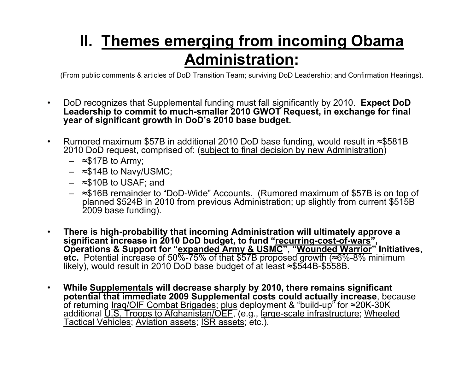## **II. Themes emerging from incoming Obama Administration:**

(From public comments & articles of DoD Transition Team; surviving Do D Leadership; and Confirmation Hearings).

- • DoD recognizes that Supplemental funding must fall significantly by 2010. **Expect DoD Leadership to commit to much-smaller 2010 GWOT Request, in exchange for final year of significant growth in DoD's 2010 base budget.**
- •• Rumored maximum \$57B in additional 2010 DoD base funding, would result in ≈\$581B 2010 DoD request, comprised of: (<u>subject to final decision by new Administration</u>)
	- <sup>≈</sup>\$17B to Army;
	- <sup>≈</sup>\$14B to Navy/USMC;
	- <sup>≈</sup>\$10B to USAF; and
	- planned \$524B in 2010 from previous Administration; up slightly from current \$515B 2009 base funding).
- • **There is high-probability that incoming Administration will ultimately approve <sup>a</sup> significant increase in 2010 DoD budget, to fund "recurring-cost-of-wars", Operations & Support for "expanded Army & USMC", "Wounded Warrior " Initiatives, etc.** Potential increase of 50%-75% of that \$57B proposed growth ( <sup>≈</sup>6%-8% minimum likely), would result in 2010 DoD base budget of at least <sup>≈</sup>\$544B-\$558B.
- • **While Supplementals will decrease sharply by 2010, there remains significant potential that immediate 2009 Supplemental costs could actually increase**, because of returning <u>Iraq/OIF Combat Brigades; plus</u> deployment & "build-up" for ≈20K-30K additional U.S. Troops to Afghanistan/OEF, (e.g., large-scale infrastructure; Wheeled Tactical Vehicles; Aviation assets; ISR assets; etc.).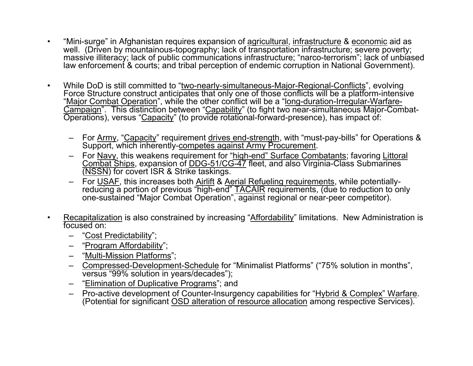- • "Mini-surge" in Afghanistan requires expansion of agricultural, infrastructure & economic aid as well. (Driven by mountainous-topography; lack of transportation infrastructure; severe poverty; massive illiteracy; lack of public communications infrastructure; "narco-terrorism"; lack of unbiased law enforcement & courts; and tribal perception of endemic corruption in National Government).
- •• While DoD is still committed to "two-nearly-simultaneous-Major-Regional-Conflicts", evolving Force Structure construct anticipates that only one of those conflicts will be a platform-intensive "Major Combat Operation", while the other conflict will be a "long-duration-Irregular-Warfare-Campaign". This distinction between "Capability" (to fight two near-simultaneous Major-Combat-Operations), versus "Capacity" (to provide rotational-forward-presence), has impact of:
	- For <u>Army,</u> "<u>Capacity</u>" requirement <u>drives end-strength,</u> with "must-pay-bills" for Operations & Support, which inherently-competes against Army Procurement.
	- –For Navy, this weakens requirement for "high-end" Surface Combatants; favoring Littoral Combat Ships, expansion of DDG-51/CG-47 fleet, and also Virginia-Class Submarines (NSSN) for covert ISR & Strike taskings.
	- –– For <u>USAF,</u> this increases both <u>Airlift</u> & <u>Aerial Refueling requirements</u>, while potentiallyreducing a portion of previous "high-end" <u>TACAIR</u> requirements, (due to reduction to only one-sustained "Major Combat Operation", against regional or near-peer competitor).
- • Recapitalization is also constrained by increasing "Affordability" limitations. New Administration is focused on:
	- "Cost Predictability";
	- –"Program Affordability";
	- –"Multi-Mission Platforms";
	- – Compressed-Development-Schedule for "Minimalist Platforms" ("75% solution in months", versus "99% solution in years/decades");
	- "Elimination of Duplicative Programs"; and
	- –- Pro-active development of Counter-Insurgency capabilities for "Hybrid & Complex" Warfare. (Potential for significant <u>OSD alteration of resource allocation</u> among respective Services).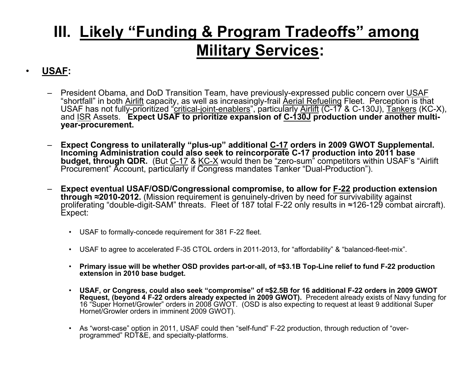### **III. Likely "Funding & Program Tradeoffs" among Military Services:**

#### **USAF:**

•

- President Obama, and DoD Transition Team, have previously-expressed public concern over USAF "shortfall" in both <u>Airlift</u> capacity, as well as increasingly-frail <u>Aerial Refueling</u> Fleet. Perception is that USAF has not fully-prioritized "critical-joint-enablers", particularly Airlift (C-17 & C-130J), Tankers (KC-X), and ISR Assets. **Expect USAF to prioritize expansion of C-130J production under another multiyear-procurement.**
- **Expect Congress to unilaterally "plus-up" additional C-17 orders in 2009 GWOT Supplemental. Incoming Administration could also seek to reincorporate C-17 production into 2011 base budget, through QDR.** (But <u>C-17</u> & <u>KC-X</u> would then be "zero-sum" competitors within USAF's "Airlift Procurement" Account, particularly if Congress mandates Tanker "Dual-Production").
- **Expect eventual USAF/OSD/Congressional compromise, to allow for F-22 production extension through ≈2010-2012.** (Mission requirement is genuinely-driven by need for survivability against proliferating "double-digit-SAM" threats. Fleet of 187 total F-22 only results in <sup>≈</sup>126-129 combat aircraft). Expect:
	- USAF to formally-concede requirement for 381 F-22 fleet.
	- •USAF to agree to accelerated F-35 CTOL orders in 2011-2013, for "affordability" & "balanced-fleet-mix".
	- **Primary issue will be whether OSD provides part-or-all, of <sup>≈</sup>\$3.1B Top-Line relief to fund F-22 production extension in 2010 base budget.**
	- **USAF, or Congress, could also seek "compromise" of <sup>≈</sup>\$2.5B for 16 additional F-22 orders in 2009 GWOT Request, (beyond 4 F-22 orders already expected in 2009 GWOT).** Precedent already exists of Navy funding for 16 "Super Hornet/Growler" orders in 2008 GWOT. (OSD is also expecting to request at least 9 additional Super Hornet/Growler orders in imminent 2009 GWOT).
	- As "worst-case" option in 2011, USAF could then "self-fund" F-22 production, through reduction of "overprogrammed" RDT&E, and specialty-platforms.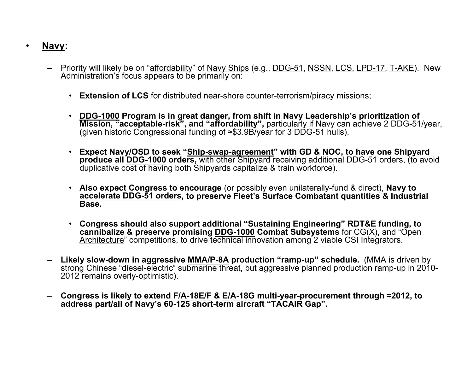#### **Navy:**

•

- Priority will likely be on "affordability" of Navy Ships (e.g., DDG-51, NSSN, LCS, LPD-17, T-AKE). New Administration's focus appears to be primarily on:
	- **Extension of LCS** for distributed near-shore counter-terrorism/piracy missions;
	- $\bullet$  **DDG-1000 Program is in great danger, from shift in Navy Leadership's prioritization of Mission, "acceptable-risk", and "affordability",** particularly if Navy can achieve 2 DDG-51/year, (given historic Congressional funding of ≈\$3.9B/year for 3 DDG-51 hulls).
	- **Expect Navy/OSD to seek "Ship-swap-agreement" with GD & NOC, to have one Shipyard produce all DDG-1000 orders,** with other Shipyard receiving additional DDG-51 orders, (to avoid duplicative cost of having both Shipyards capitalize & train workforce).
	- **Also expect Congress to encourage** (or possibly even unilaterally-fund & direct), **Navy to accelerate DDG-51 orders, to preserve Fleet's Surface Combatant quantities & Industrial Base.**
	- **Congress should also support additional "Sustaining Engineering" RDT&E funding, to cannibalize & preserve promising DDG-1000 Combat Subsystems** for CG(X), and "Open Architecture" competitions, to drive technical innovation among 2 viable CSI Integrators.
- **Likely slow-down in aggressive MMA/P-8A production "ramp-up" schedule.** (MMA is driven by strong Chinese "diesel-electric" submarine threat, but aggressive planned production ramp-up in 2010- 2012 remains overly-optimistic).
- **Congress is likely to extend F/A-18E/F & E/A-18G multi-year-procurement through ≈2012, to address part/all of Navy's 60-125 short-term aircraft "TACAIR Gap".**